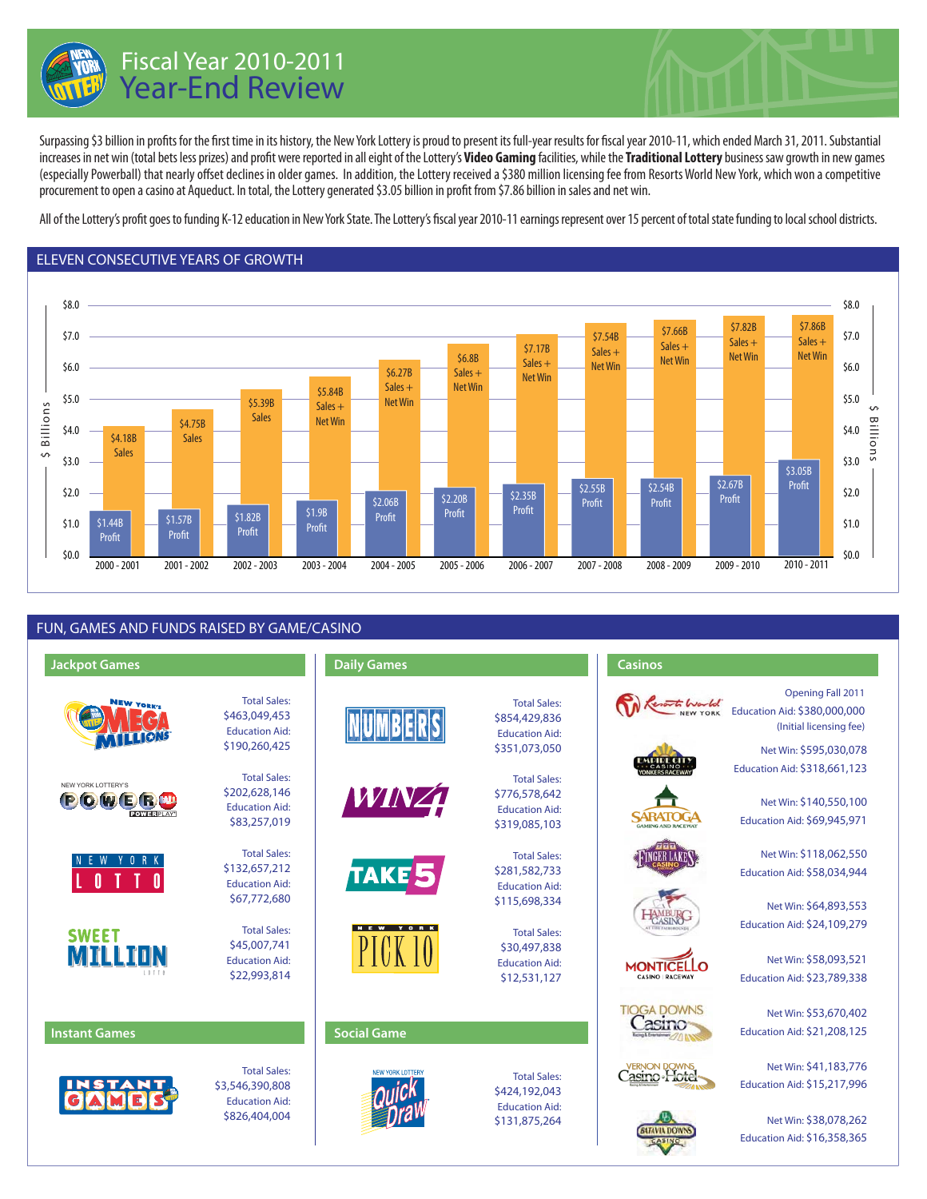

# Fiscal Year 2010-2011 Year-End Review

Surpassing \$3 billion in profits for the first time in its history, the New York Lottery is proud to present its full-year results for fiscal year 2010-11, which ended March 31, 2011. Substantial increases in net win (total bets less prizes) and profit were reported in all eight of the Lottery's **Video Gaming** facilities, while the **Traditional Lottery** business saw growth in new games (especially Powerball) that nearly offset declines in older games. In addition, the Lottery received a \$380 million licensing fee from Resorts World New York, which won a competitive procurement to open a casino at Aqueduct. In total, the Lottery generated \$3.05 billion in profit from \$7.86 billion in sales and net win.

All of the Lottery's profit goes to funding K-12 education in New York State. The Lottery's fiscal year 2010-11 earnings represent over 15 percent of total state funding to local school districts.





## FUN, GAMES AND FUNDS RAISED BY GAME/CASINO

| <b>Jackpot Games</b>                                          |                                                                                  | <b>Daily Games</b>      |                                                                                | <b>Casinos</b>                               |                                                                                                        |
|---------------------------------------------------------------|----------------------------------------------------------------------------------|-------------------------|--------------------------------------------------------------------------------|----------------------------------------------|--------------------------------------------------------------------------------------------------------|
| <b>NEW YORK'S</b>                                             | <b>Total Sales:</b><br>\$463,049,453<br><b>Education Aid:</b><br>\$190,260,425   |                         | <b>Total Sales:</b><br>\$854,429,836<br><b>Education Aid:</b><br>\$351,073,050 |                                              | Opening Fall 2011<br>Education Aid: \$380,000,000<br>(Initial licensing fee)<br>Net Win: \$595,030,078 |
| NEW YORK LOTTERY'S<br>POWER <sup>40</sup><br><b>POWERPLAY</b> | <b>Total Sales:</b><br>\$202,628,146<br><b>Education Aid:</b><br>\$83,257,019    | <u>WINZT</u>            | <b>Total Sales:</b><br>\$776,578,642<br><b>Education Aid:</b><br>\$319,085,103 | CASINO<br><b>EARATO</b><br>AMING AND RACEWAY | Education Aid: \$318,661,123<br>Net Win: \$140,550,100<br>Education Aid: \$69,945,971                  |
| 0 R K                                                         | <b>Total Sales:</b><br>\$132,657,212<br><b>Education Aid:</b><br>\$67,772,680    | TAKE 5                  | <b>Total Sales:</b><br>\$281,582,733<br><b>Education Aid:</b><br>\$115,698,334 |                                              | Net Win: \$118,062,550<br>Education Aid: \$58,034,944<br>Net Win: \$64,893,553                         |
| <b>SWEET</b><br>MILLIN<br>1 1 1 1 1 1                         | <b>Total Sales:</b><br>\$45,007,741<br><b>Education Aid:</b><br>\$22,993,814     | <b>NEW</b><br>YORK      | <b>Total Sales:</b><br>\$30,497,838<br><b>Education Aid:</b><br>\$12,531,127   | <b>MONTICFI</b><br>CASINO   RACEWAY          | Education Aid: \$24,109,279<br>Net Win: \$58,093,521<br>Education Aid: \$23,789,338                    |
| <b>Instant Games</b>                                          |                                                                                  | <b>Social Game</b>      |                                                                                | <b>TIOGA DOWNS</b><br>asmo                   | Net Win: \$53,670,402<br>Education Aid: \$21,208,125                                                   |
|                                                               | <b>Total Sales:</b><br>\$3,546,390,808<br><b>Education Aid:</b><br>\$826,404,004 | <b>NEW YORK LOTTERY</b> | <b>Total Sales:</b><br>\$424,192,043<br><b>Education Aid:</b>                  |                                              | Net Win: \$41,183,776<br>Education Aid: \$15,217,996                                                   |
|                                                               |                                                                                  |                         | \$131,875,264                                                                  |                                              | Net Win: \$38,078,262                                                                                  |

Education Aid: \$16,358,365